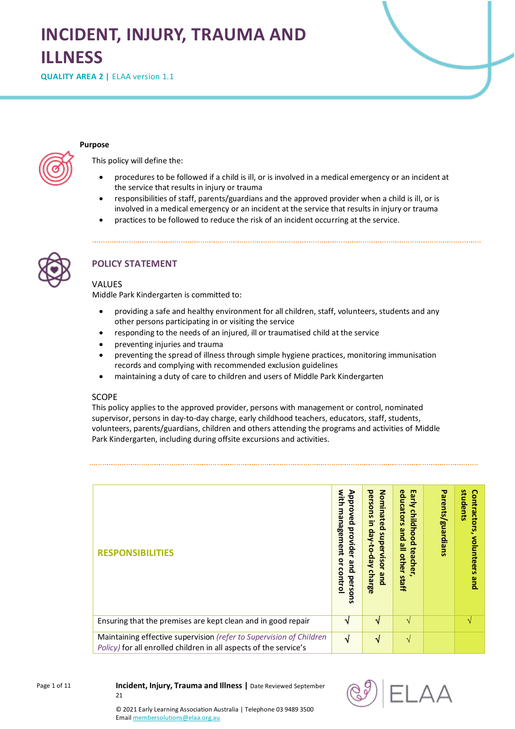# **INCIDENT, INJURY, TRAUMA AND ILLNESS**

**QUALITY AREA 2 | ELAA version 1.1** 

#### **Purpose**

This policy will define the:

- procedures to be followed if a child is ill, or is involved in a medical emergency or an incident at the service that results in injury or trauma
- responsibilities of staff, parents/guardians and the approved provider when a child is ill, or is involved in a medical emergency or an incident at the service that results in injury or trauma
- practices to be followed to reduce the risk of an incident occurring at the service.



## **POLICY STATEMENT**

## VALUES

Middle Park Kindergarten is committed to:

- providing a safe and healthy environment for all children, staff, volunteers, students and any other persons participating in or visiting the service
- responding to the needs of an injured, ill or traumatised child at the service
- preventing injuries and trauma
- preventing the spread of illness through simple hygiene practices, monitoring immunisation records and complying with recommended exclusion guidelines
- maintaining a duty of care to children and users of Middle Park Kindergarten

#### SCOPE

This policy applies to the approved provider, persons with management or control, nominated supervisor, persons in day-to-day charge, early childhood teachers, educators, staff, students, volunteers, parents/guardians, children and others attending the programs and activities of Middle Park Kindergarten, including during offsite excursions and activities.

| <b>RESPONSIBILITIES</b>                                                                                                                  | with<br>Approved<br>man<br>agement<br>provider<br>$\mathbf{S}$<br>pue<br>control<br>perso<br>긍 | persons<br>Nominated<br>Ξ,<br>っ<br>௨<br>supervisor<br>Aep-01-Ae<br>charge<br>pue | Early<br>educators<br>childhood<br>and<br>≌<br>teacher<br>other<br>staff | Parents/guardians | students<br>Contractors<br>volunteers<br>pue |
|------------------------------------------------------------------------------------------------------------------------------------------|------------------------------------------------------------------------------------------------|----------------------------------------------------------------------------------|--------------------------------------------------------------------------|-------------------|----------------------------------------------|
| Ensuring that the premises are kept clean and in good repair                                                                             | N                                                                                              | N                                                                                | $\mathcal{N}$                                                            |                   | $\mathcal{N}$                                |
| Maintaining effective supervision (refer to Supervision of Children<br>Policy) for all enrolled children in all aspects of the service's | √                                                                                              | √                                                                                | V                                                                        |                   |                                              |

Page 1 of 11

**Incident, Injury, Trauma and Illness |** Date Reviewed September 21



© 2021 Early Learning Association Australia | Telephone 03 9489 3500 Emai[l membersolutions@elaa.org.au](mailto:membersolutions@elaa.org.au)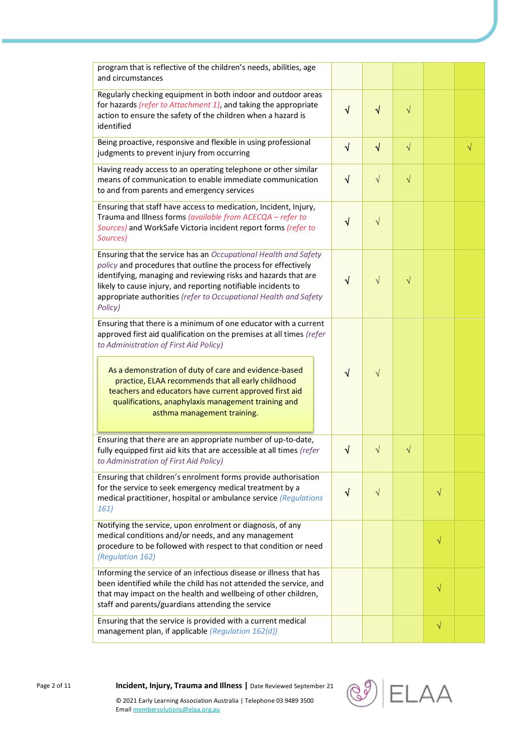| program that is reflective of the children's needs, abilities, age<br>and circumstances                                                                                                                                                                                                                                                             |            |            |           |           |           |
|-----------------------------------------------------------------------------------------------------------------------------------------------------------------------------------------------------------------------------------------------------------------------------------------------------------------------------------------------------|------------|------------|-----------|-----------|-----------|
| Regularly checking equipment in both indoor and outdoor areas<br>for hazards (refer to Attachment 1), and taking the appropriate<br>action to ensure the safety of the children when a hazard is<br>identified                                                                                                                                      |            | $\sqrt{}$  | $\sqrt{}$ |           |           |
| Being proactive, responsive and flexible in using professional<br>judgments to prevent injury from occurring                                                                                                                                                                                                                                        | $\sqrt{ }$ | $\sqrt{}$  | $\sqrt{}$ |           | $\sqrt{}$ |
| Having ready access to an operating telephone or other similar<br>means of communication to enable immediate communication<br>to and from parents and emergency services                                                                                                                                                                            | $\sqrt{ }$ | $\sqrt{ }$ | $\sqrt{}$ |           |           |
| Ensuring that staff have access to medication, Incident, Injury,<br>Trauma and Illness forms (available from ACECQA - refer to<br>Sources) and WorkSafe Victoria incident report forms (refer to<br>Sources)                                                                                                                                        | $\sqrt{}$  | $\sqrt{}$  |           |           |           |
| Ensuring that the service has an Occupational Health and Safety<br>policy and procedures that outline the process for effectively<br>identifying, managing and reviewing risks and hazards that are<br>likely to cause injury, and reporting notifiable incidents to<br>appropriate authorities (refer to Occupational Health and Safety<br>Policy) | $\sqrt{ }$ | $\sqrt{}$  | $\sqrt{}$ |           |           |
| Ensuring that there is a minimum of one educator with a current<br>approved first aid qualification on the premises at all times (refer<br>to Administration of First Aid Policy)                                                                                                                                                                   |            |            |           |           |           |
| As a demonstration of duty of care and evidence-based<br>practice, ELAA recommends that all early childhood<br>teachers and educators have current approved first aid<br>qualifications, anaphylaxis management training and<br>asthma management training.                                                                                         | $\sqrt{ }$ | $\sqrt{}$  |           |           |           |
| Ensuring that there are an appropriate number of up-to-date,<br>fully equipped first aid kits that are accessible at all times (refer<br>to Administration of First Aid Policy)                                                                                                                                                                     | N          |            | V         |           |           |
| Ensuring that children's enrolment forms provide authorisation<br>for the service to seek emergency medical treatment by a<br>medical practitioner, hospital or ambulance service (Regulations<br>161)                                                                                                                                              |            | $\sqrt{ }$ |           | V         |           |
| Notifying the service, upon enrolment or diagnosis, of any<br>medical conditions and/or needs, and any management<br>procedure to be followed with respect to that condition or need<br>(Regulation 162)                                                                                                                                            |            |            |           | $\sqrt{}$ |           |
| Informing the service of an infectious disease or illness that has<br>been identified while the child has not attended the service, and<br>that may impact on the health and wellbeing of other children,<br>staff and parents/guardians attending the service                                                                                      |            |            |           | $\sqrt{}$ |           |
| Ensuring that the service is provided with a current medical<br>management plan, if applicable (Regulation 162(d))                                                                                                                                                                                                                                  |            |            |           | $\sqrt{}$ |           |



Page 2 of 11 **Incident, Injury, Trauma and Illness |** Date Reviewed September 21

© 2021 Early Learning Association Australia | Telephone 03 9489 3500 Emai[l membersolutions@elaa.org.au](mailto:membersolutions@elaa.org.au)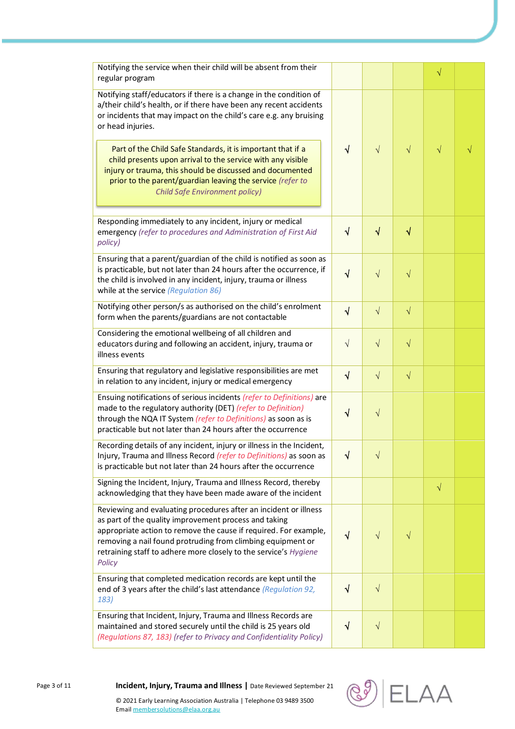| Notifying the service when their child will be absent from their<br>regular program                                                                                                                                                                                                                                                        |            |            |           | $\sqrt{}$ |  |
|--------------------------------------------------------------------------------------------------------------------------------------------------------------------------------------------------------------------------------------------------------------------------------------------------------------------------------------------|------------|------------|-----------|-----------|--|
| Notifying staff/educators if there is a change in the condition of<br>a/their child's health, or if there have been any recent accidents<br>or incidents that may impact on the child's care e.g. any bruising<br>or head injuries.                                                                                                        |            |            |           |           |  |
| Part of the Child Safe Standards, it is important that if a<br>child presents upon arrival to the service with any visible<br>injury or trauma, this should be discussed and documented<br>prior to the parent/guardian leaving the service (refer to<br><b>Child Safe Environment policy)</b>                                             | √          | $\sqrt{}$  | $\sqrt{}$ | $\sqrt{}$ |  |
| Responding immediately to any incident, injury or medical<br>emergency (refer to procedures and Administration of First Aid<br>policy)                                                                                                                                                                                                     | $\sqrt{ }$ | $\sqrt{}$  | $\sqrt{}$ |           |  |
| Ensuring that a parent/guardian of the child is notified as soon as<br>is practicable, but not later than 24 hours after the occurrence, if<br>the child is involved in any incident, injury, trauma or illness<br>while at the service (Regulation 86)                                                                                    | √          | $\sqrt{}$  | $\sqrt{}$ |           |  |
| Notifying other person/s as authorised on the child's enrolment<br>form when the parents/guardians are not contactable                                                                                                                                                                                                                     | $\sqrt{}$  | $\sqrt{ }$ | $\sqrt{}$ |           |  |
| Considering the emotional wellbeing of all children and<br>educators during and following an accident, injury, trauma or<br>illness events                                                                                                                                                                                                 | $\sqrt{}$  | $\sqrt{}$  | $\sqrt{}$ |           |  |
| Ensuring that regulatory and legislative responsibilities are met<br>in relation to any incident, injury or medical emergency                                                                                                                                                                                                              | $\sqrt{ }$ | $\sqrt{}$  | $\sqrt{}$ |           |  |
| Ensuing notifications of serious incidents (refer to Definitions) are<br>made to the regulatory authority (DET) (refer to Definition)<br>through the NQA IT System (refer to Definitions) as soon as is<br>practicable but not later than 24 hours after the occurrence                                                                    | $\sqrt{}$  | $\sqrt{}$  |           |           |  |
| Recording details of any incident, injury or illness in the Incident,<br>Injury, Trauma and Illness Record (refer to Definitions) as soon as<br>is practicable but not later than 24 hours after the occurrence                                                                                                                            | √          | V          |           |           |  |
| Signing the Incident, Injury, Trauma and Illness Record, thereby<br>acknowledging that they have been made aware of the incident                                                                                                                                                                                                           |            |            |           | $\sqrt{}$ |  |
| Reviewing and evaluating procedures after an incident or illness<br>as part of the quality improvement process and taking<br>appropriate action to remove the cause if required. For example,<br>removing a nail found protruding from climbing equipment or<br>retraining staff to adhere more closely to the service's Hygiene<br>Policy | √          | V          | $\sqrt{}$ |           |  |
| Ensuring that completed medication records are kept until the<br>end of 3 years after the child's last attendance (Regulation 92,<br>183)                                                                                                                                                                                                  | √          | $\sqrt{}$  |           |           |  |
| Ensuring that Incident, Injury, Trauma and Illness Records are<br>maintained and stored securely until the child is 25 years old<br>(Regulations 87, 183) (refer to Privacy and Confidentiality Policy)                                                                                                                                    | $\sqrt{}$  | $\sqrt{}$  |           |           |  |



Page 3 of 11 **Incident, Injury, Trauma and Illness |** Date Reviewed September 21

© 2021 Early Learning Association Australia | Telephone 03 9489 3500 Emai[l membersolutions@elaa.org.au](mailto:membersolutions@elaa.org.au)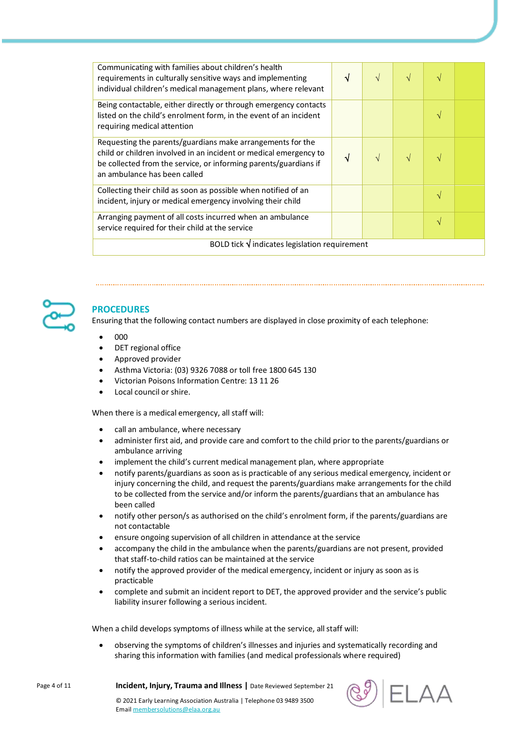| Communicating with families about children's health<br>requirements in culturally sensitive ways and implementing<br>individual children's medical management plans, where relevant                                                 | √ | $\sqrt{}$ | $\sqrt{ }$ |   |  |  |
|-------------------------------------------------------------------------------------------------------------------------------------------------------------------------------------------------------------------------------------|---|-----------|------------|---|--|--|
| Being contactable, either directly or through emergency contacts<br>listed on the child's enrolment form, in the event of an incident<br>requiring medical attention                                                                |   |           |            |   |  |  |
| Requesting the parents/guardians make arrangements for the<br>child or children involved in an incident or medical emergency to<br>be collected from the service, or informing parents/guardians if<br>an ambulance has been called | J | $\sqrt{}$ |            |   |  |  |
| Collecting their child as soon as possible when notified of an<br>incident, injury or medical emergency involving their child                                                                                                       |   |           |            | V |  |  |
| Arranging payment of all costs incurred when an ambulance<br>service required for their child at the service                                                                                                                        |   |           |            | V |  |  |
| BOLD tick $\sqrt{}$ indicates legislation requirement                                                                                                                                                                               |   |           |            |   |  |  |



## **PROCEDURES**

Ensuring that the following contact numbers are displayed in close proximity of each telephone:

- $\bullet$  000
- DET regional office
- Approved provider
- Asthma Victoria: (03) 9326 7088 or toll free 1800 645 130
- Victorian Poisons Information Centre: 13 11 26
- Local council or shire.

When there is a medical emergency, all staff will:

- call an ambulance, where necessary
- administer first aid, and provide care and comfort to the child prior to the parents/guardians or ambulance arriving
- implement the child's current medical management plan, where appropriate
- notify parents/guardians as soon as is practicable of any serious medical emergency, incident or injury concerning the child, and request the parents/guardians make arrangements for the child to be collected from the service and/or inform the parents/guardians that an ambulance has been called
- notify other person/s as authorised on the child's enrolment form, if the parents/guardians are not contactable
- ensure ongoing supervision of all children in attendance at the service
- accompany the child in the ambulance when the parents/guardians are not present, provided that staff-to-child ratios can be maintained at the service
- notify the approved provider of the medical emergency, incident or injury as soon as is practicable
- complete and submit an incident report to DET, the approved provider and the service's public liability insurer following a serious incident.

When a child develops symptoms of illness while at the service, all staff will:

 observing the symptoms of children's illnesses and injuries and systematically recording and sharing this information with families (and medical professionals where required)

Page 4 of 11 **Incident, Injury, Trauma and Illness |** Date Reviewed September 21

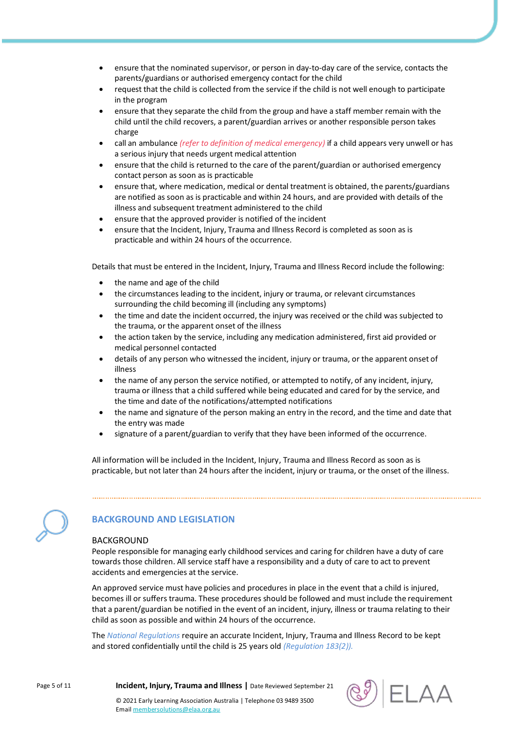- ensure that the nominated supervisor, or person in day-to-day care of the service, contacts the parents/guardians or authorised emergency contact for the child
- request that the child is collected from the service if the child is not well enough to participate in the program
- ensure that they separate the child from the group and have a staff member remain with the child until the child recovers, a parent/guardian arrives or another responsible person takes charge
- call an ambulance *(refer to definition of medical emergency)* if a child appears very unwell or has a serious injury that needs urgent medical attention
- ensure that the child is returned to the care of the parent/guardian or authorised emergency contact person as soon as is practicable
- ensure that, where medication, medical or dental treatment is obtained, the parents/guardians are notified as soon as is practicable and within 24 hours, and are provided with details of the illness and subsequent treatment administered to the child
- ensure that the approved provider is notified of the incident
- ensure that the Incident, Injury, Trauma and Illness Record is completed as soon as is practicable and within 24 hours of the occurrence.

Details that must be entered in the Incident, Injury, Trauma and Illness Record include the following:

- the name and age of the child
- the circumstances leading to the incident, injury or trauma, or relevant circumstances surrounding the child becoming ill (including any symptoms)
- the time and date the incident occurred, the injury was received or the child was subjected to the trauma, or the apparent onset of the illness
- the action taken by the service, including any medication administered, first aid provided or medical personnel contacted
- details of any person who witnessed the incident, injury or trauma, or the apparent onset of illness
- the name of any person the service notified, or attempted to notify, of any incident, injury, trauma or illness that a child suffered while being educated and cared for by the service, and the time and date of the notifications/attempted notifications
- the name and signature of the person making an entry in the record, and the time and date that the entry was made
- signature of a parent/guardian to verify that they have been informed of the occurrence.

All information will be included in the Incident, Injury, Trauma and Illness Record as soon as is practicable, but not later than 24 hours after the incident, injury or trauma, or the onset of the illness.



## **BACKGROUND AND LEGISLATION**

#### BACKGROUND

People responsible for managing early childhood services and caring for children have a duty of care towards those children. All service staff have a responsibility and a duty of care to act to prevent accidents and emergencies at the service.

An approved service must have policies and procedures in place in the event that a child is injured, becomes ill or suffers trauma. These procedures should be followed and must include the requirement that a parent/guardian be notified in the event of an incident, injury, illness or trauma relating to their child as soon as possible and within 24 hours of the occurrence.

The *National Regulations* require an accurate Incident, Injury, Trauma and Illness Record to be kept and stored confidentially until the child is 25 years old *(Regulation 183(2)).*

Page 5 of 11 **Incident, Injury, Trauma and Illness |** Date Reviewed September 21

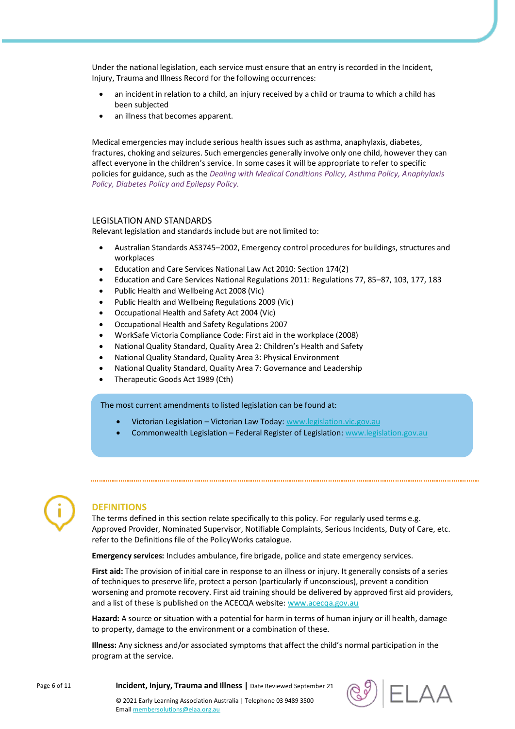Under the national legislation, each service must ensure that an entry is recorded in the Incident, Injury, Trauma and Illness Record for the following occurrences:

- an incident in relation to a child, an injury received by a child or trauma to which a child has been subjected
- an illness that becomes apparent.

Medical emergencies may include serious health issues such as asthma, anaphylaxis, diabetes, fractures, choking and seizures. Such emergencies generally involve only one child, however they can affect everyone in the children's service. In some cases it will be appropriate to refer to specific policies for guidance, such as the *Dealing with Medical Conditions Policy, Asthma Policy, Anaphylaxis Policy, Diabetes Policy and Epilepsy Policy.*

#### LEGISLATION AND STANDARDS

Relevant legislation and standards include but are not limited to:

- Australian Standards AS3745–2002, Emergency control procedures for buildings, structures and workplaces
- Education and Care Services National Law Act 2010: Section 174(2)
- Education and Care Services National Regulations 2011: Regulations 77, 85–87, 103, 177, 183
- Public Health and Wellbeing Act 2008 (Vic)
- Public Health and Wellbeing Regulations 2009 (Vic)
- Occupational Health and Safety Act 2004 (Vic)
- Occupational Health and Safety Regulations 2007
- WorkSafe Victoria Compliance Code: First aid in the workplace (2008)
- National Quality Standard, Quality Area 2: Children's Health and Safety
- National Quality Standard, Quality Area 3: Physical Environment
- National Quality Standard, Quality Area 7: Governance and Leadership
- Therapeutic Goods Act 1989 (Cth)

The most current amendments to listed legislation can be found at:

- Victorian Legislation Victorian Law Today: [www.legislation.vic.gov.au](http://www.legislation.vic.gov.au/)
- Commonwealth Legislation Federal Register of Legislation[: www.legislation.gov.au](http://www.legislation.gov.au/)



#### **DEFINITIONS**

The terms defined in this section relate specifically to this policy. For regularly used terms e.g. Approved Provider, Nominated Supervisor, Notifiable Complaints, Serious Incidents, Duty of Care, etc. refer to the Definitions file of the PolicyWorks catalogue.

**Emergency services:** Includes ambulance, fire brigade, police and state emergency services.

**First aid:** The provision of initial care in response to an illness or injury. It generally consists of a series of techniques to preserve life, protect a person (particularly if unconscious), prevent a condition worsening and promote recovery. First aid training should be delivered by approved first aid providers, and a list of these is published on the ACECQA website[: www.acecqa.gov.au](https://www.acecqa.gov.au/)

**Hazard:** A source or situation with a potential for harm in terms of human injury or ill health, damage to property, damage to the environment or a combination of these.

**Illness:** Any sickness and/or associated symptoms that affect the child's normal participation in the program at the service.



Page 6 of 11 **Incident, Injury, Trauma and Illness |** Date Reviewed September 21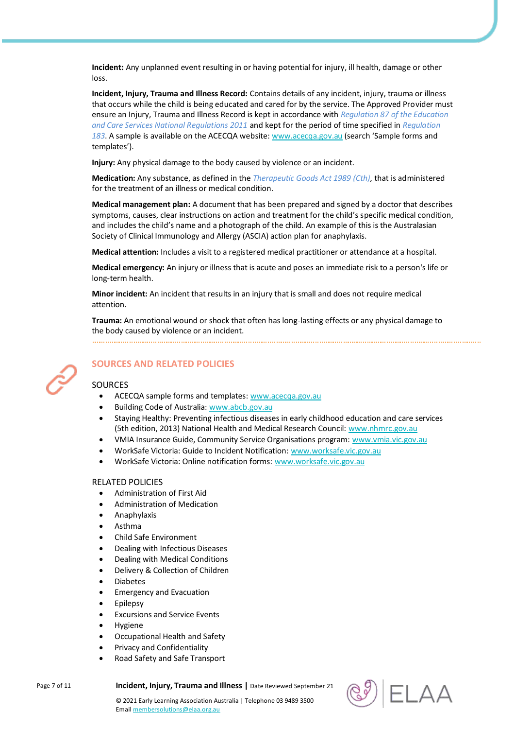**Incident:** Any unplanned event resulting in or having potential for injury, ill health, damage or other loss.

**Incident, Injury, Trauma and Illness Record:** Contains details of any incident, injury, trauma or illness that occurs while the child is being educated and cared for by the service. The Approved Provider must ensure an Injury, Trauma and Illness Record is kept in accordance with *Regulation 87 of the Education and Care Services National Regulations 2011* and kept for the period of time specified in *Regulation 183*. A sample is available on the ACECQA website[: www.acecqa.gov.au](https://www.acecqa.gov.au/) (search 'Sample forms and templates').

**Injury:** Any physical damage to the body caused by violence or an incident.

**Medication:** Any substance, as defined in the *Therapeutic Goods Act 1989 (Cth)*, that is administered for the treatment of an illness or medical condition.

**Medical management plan:** A document that has been prepared and signed by a doctor that describes symptoms, causes, clear instructions on action and treatment for the child's specific medical condition, and includes the child's name and a photograph of the child. An example of this is the Australasian Society of Clinical Immunology and Allergy (ASCIA) action plan for anaphylaxis.

**Medical attention:** Includes a visit to a registered medical practitioner or attendance at a hospital.

**Medical emergency:** An injury or illness that is acute and poses an immediate risk to a person's life or long-term health.

**Minor incident:** An incident that results in an injury that is small and does not require medical attention.

**Trauma:** An emotional wound or shock that often has long-lasting effects or any physical damage to the body caused by violence or an incident.



## **SOURCES AND RELATED POLICIES**

## **SOURCES**

- ACECQA sample forms and templates[: www.acecqa.gov.au](https://www.acecqa.gov.au/)
- Building Code of Australia: [www.abcb.gov.au](https://www.abcb.gov.au/)
- Staying Healthy: Preventing infectious diseases in early childhood education and care services (5th edition, 2013) National Health and Medical Research Council: [www.nhmrc.gov.au](https://www.nhmrc.gov.au/)
- VMIA Insurance Guide, Community Service Organisations program: [www.vmia.vic.gov.au](https://www.vmia.vic.gov.au/)
- WorkSafe Victoria: Guide to Incident Notification: [www.worksafe.vic.gov.au](https://www.worksafe.vic.gov.au/)
- WorkSafe Victoria: Online notification forms[: www.worksafe.vic.gov.au](https://www.worksafe.vic.gov.au/)

#### RELATED POLICIES

- Administration of First Aid
- Administration of Medication
- Anaphylaxis
- Asthma
- Child Safe Environment
- Dealing with Infectious Diseases
- Dealing with Medical Conditions
- Delivery & Collection of Children
- Diabetes
- Emergency and Evacuation
- Epilepsy
- Excursions and Service Events
- Hygiene
- Occupational Health and Safety
- Privacy and Confidentiality
- Road Safety and Safe Transport



Page 7 of 11 **Incident, Injury, Trauma and Illness |** Date Reviewed September 21

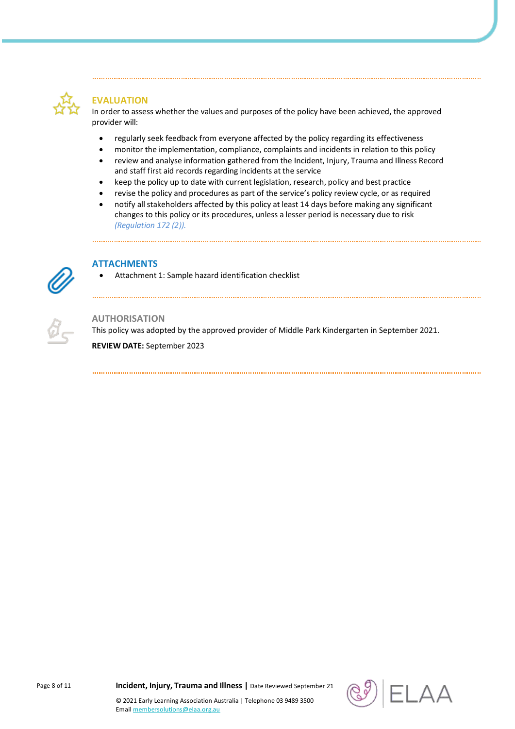

## **EVALUATION**

In order to assess whether the values and purposes of the policy have been achieved, the approved provider will:

- regularly seek feedback from everyone affected by the policy regarding its effectiveness
- monitor the implementation, compliance, complaints and incidents in relation to this policy
- review and analyse information gathered from the Incident, Injury, Trauma and Illness Record and staff first aid records regarding incidents at the service
- keep the policy up to date with current legislation, research, policy and best practice
- revise the policy and procedures as part of the service's policy review cycle, or as required
- notify all stakeholders affected by this policy at least 14 days before making any significant changes to this policy or its procedures, unless a lesser period is necessary due to risk *(Regulation 172 (2)).*



## **ATTACHMENTS**

Attachment 1: Sample hazard identification checklist



#### **AUTHORISATION**

This policy was adopted by the approved provider of Middle Park Kindergarten in September 2021. **REVIEW DATE:** September 2023



Page 8 of 11 **Incident, Injury, Trauma and Illness |** Date Reviewed September 21

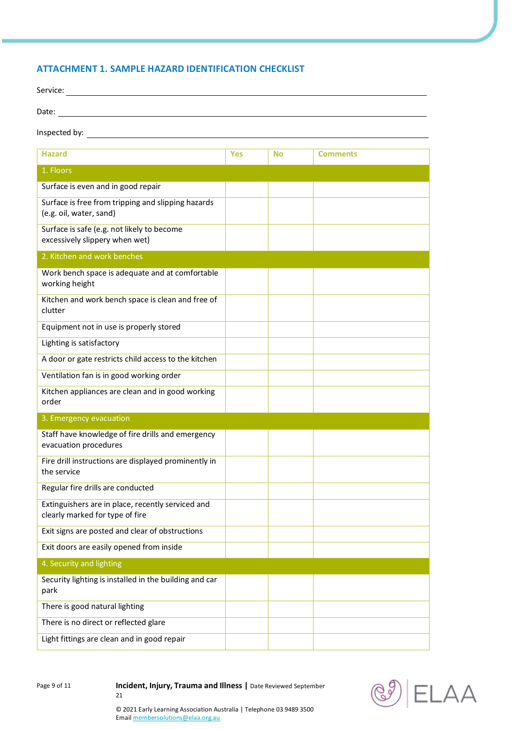## **ATTACHMENT 1. SAMPLE HAZARD IDENTIFICATION CHECKLIST**

| Service: |  |  |
|----------|--|--|
| Date:    |  |  |

## Inspected by:

| <b>Hazard</b>                                                                        | <b>Yes</b> | <b>No</b> | <b>Comments</b> |
|--------------------------------------------------------------------------------------|------------|-----------|-----------------|
| 1. Floors                                                                            |            |           |                 |
| Surface is even and in good repair                                                   |            |           |                 |
| Surface is free from tripping and slipping hazards<br>(e.g. oil, water, sand)        |            |           |                 |
| Surface is safe (e.g. not likely to become<br>excessively slippery when wet)         |            |           |                 |
| 2. Kitchen and work benches                                                          |            |           |                 |
| Work bench space is adequate and at comfortable<br>working height                    |            |           |                 |
| Kitchen and work bench space is clean and free of<br>clutter                         |            |           |                 |
| Equipment not in use is properly stored                                              |            |           |                 |
| Lighting is satisfactory                                                             |            |           |                 |
| A door or gate restricts child access to the kitchen                                 |            |           |                 |
| Ventilation fan is in good working order                                             |            |           |                 |
| Kitchen appliances are clean and in good working<br>order                            |            |           |                 |
| 3. Emergency evacuation                                                              |            |           |                 |
| Staff have knowledge of fire drills and emergency<br>evacuation procedures           |            |           |                 |
| Fire drill instructions are displayed prominently in<br>the service                  |            |           |                 |
| Regular fire drills are conducted                                                    |            |           |                 |
| Extinguishers are in place, recently serviced and<br>clearly marked for type of fire |            |           |                 |
| Exit signs are posted and clear of obstructions                                      |            |           |                 |
| Exit doors are easily opened from inside                                             |            |           |                 |
| 4. Security and lighting                                                             |            |           |                 |
| Security lighting is installed in the building and car<br>park                       |            |           |                 |
| There is good natural lighting                                                       |            |           |                 |
| There is no direct or reflected glare                                                |            |           |                 |
| Light fittings are clean and in good repair                                          |            |           |                 |

Page 9 of 11 **Incident, Injury, Trauma and Illness** | Date Reviewed September 21

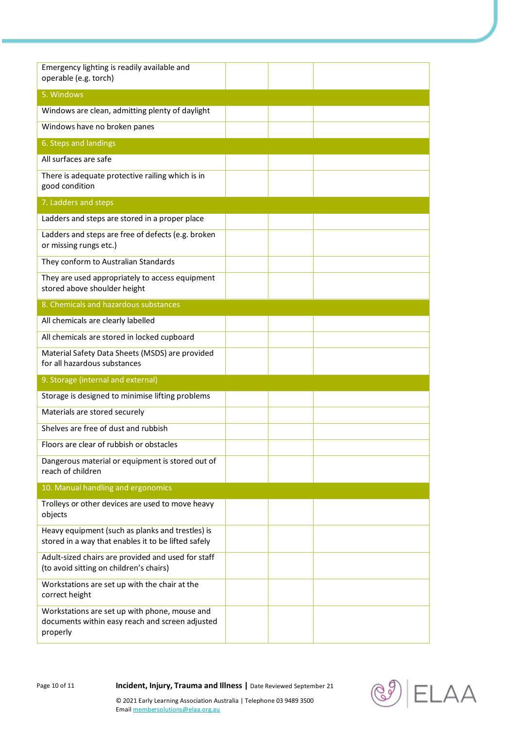| Emergency lighting is readily available and<br>operable (e.g. torch)                                         |  |  |
|--------------------------------------------------------------------------------------------------------------|--|--|
| 5. Windows                                                                                                   |  |  |
| Windows are clean, admitting plenty of daylight                                                              |  |  |
| Windows have no broken panes                                                                                 |  |  |
| 6. Steps and landings                                                                                        |  |  |
| All surfaces are safe                                                                                        |  |  |
| There is adequate protective railing which is in<br>good condition                                           |  |  |
| 7. Ladders and steps                                                                                         |  |  |
| Ladders and steps are stored in a proper place                                                               |  |  |
| Ladders and steps are free of defects (e.g. broken<br>or missing rungs etc.)                                 |  |  |
| They conform to Australian Standards                                                                         |  |  |
| They are used appropriately to access equipment<br>stored above shoulder height                              |  |  |
| 8. Chemicals and hazardous substances                                                                        |  |  |
| All chemicals are clearly labelled                                                                           |  |  |
| All chemicals are stored in locked cupboard                                                                  |  |  |
| Material Safety Data Sheets (MSDS) are provided<br>for all hazardous substances                              |  |  |
| 9. Storage (internal and external)                                                                           |  |  |
| Storage is designed to minimise lifting problems                                                             |  |  |
| Materials are stored securely                                                                                |  |  |
| Shelves are free of dust and rubbish                                                                         |  |  |
| Floors are clear of rubbish or obstacles                                                                     |  |  |
| Dangerous material or equipment is stored out of<br>reach of children                                        |  |  |
| 10. Manual handling and ergonomics                                                                           |  |  |
| Trolleys or other devices are used to move heavy<br>objects                                                  |  |  |
| Heavy equipment (such as planks and trestles) is<br>stored in a way that enables it to be lifted safely      |  |  |
| Adult-sized chairs are provided and used for staff<br>(to avoid sitting on children's chairs)                |  |  |
| Workstations are set up with the chair at the<br>correct height                                              |  |  |
| Workstations are set up with phone, mouse and<br>documents within easy reach and screen adjusted<br>properly |  |  |

Page 10 of 11 **Incident, Injury, Trauma and Illness** | Date Reviewed September 21